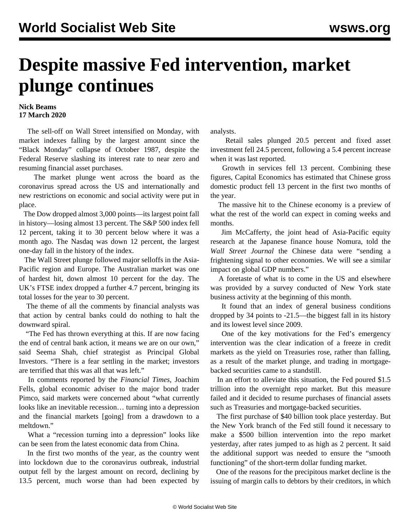## **Despite massive Fed intervention, market plunge continues**

## **Nick Beams 17 March 2020**

 The sell-off on Wall Street intensified on Monday, with market indexes falling by the largest amount since the "Black Monday" collapse of October 1987, despite the Federal Reserve slashing its interest rate to near zero and resuming financial asset purchases.

 The market plunge went across the board as the coronavirus spread across the US and internationally and new restrictions on economic and social activity were put in place.

 The Dow dropped almost 3,000 points—its largest point fall in history—losing almost 13 percent. The S&P 500 index fell 12 percent, taking it to 30 percent below where it was a month ago. The Nasdaq was down 12 percent, the largest one-day fall in the history of the index.

 The Wall Street plunge followed major selloffs in the Asia-Pacific region and Europe. The Australian market was one of hardest hit, down almost 10 percent for the day. The UK's FTSE index dropped a further 4.7 percent, bringing its total losses for the year to 30 percent.

 The theme of all the comments by financial analysts was that action by central banks could do nothing to halt the downward spiral.

 "The Fed has thrown everything at this. If are now facing the end of central bank action, it means we are on our own," said Seema Shah, chief strategist as Principal Global Investors. "There is a fear settling in the market; investors are terrified that this was all that was left."

 In comments reported by the *Financial Times*, Joachim Fells, global economic adviser to the major bond trader Pimco, said markets were concerned about "what currently looks like an inevitable recession… turning into a depression and the financial markets [going] from a drawdown to a meltdown."

 What a "recession turning into a depression" looks like can be seen from the latest economic data from China.

 In the first two months of the year, as the country went into lockdown due to the coronavirus outbreak, industrial output fell by the largest amount on record, declining by 13.5 percent, much worse than had been expected by analysts.

 Retail sales plunged 20.5 percent and fixed asset investment fell 24.5 percent, following a 5.4 percent increase when it was last reported.

 Growth in services fell 13 percent. Combining these figures, Capital Economics has estimated that Chinese gross domestic product fell 13 percent in the first two months of the year.

 The massive hit to the Chinese economy is a preview of what the rest of the world can expect in coming weeks and months.

 Jim McCafferty, the joint head of Asia-Pacific equity research at the Japanese finance house Nomura, told the *Wall Street Journal* the Chinese data were "sending a frightening signal to other economies. We will see a similar impact on global GDP numbers."

 A foretaste of what is to come in the US and elsewhere was provided by a survey conducted of New York state business activity at the beginning of this month.

 It found that an index of general business conditions dropped by 34 points to -21.5—the biggest fall in its history and its lowest level since 2009.

 One of the key motivations for the Fed's emergency intervention was the clear indication of a freeze in credit markets as the yield on Treasuries rose, rather than falling, as a result of the market plunge, and trading in mortgagebacked securities came to a standstill.

 In an effort to alleviate this situation, the Fed poured \$1.5 trillion into the overnight repo market. But this measure failed and it decided to resume purchases of financial assets such as Treasuries and mortgage-backed securities.

 The first purchase of \$40 billion took place yesterday. But the New York branch of the Fed still found it necessary to make a \$500 billion intervention into the repo market yesterday, after rates jumped to as high as 2 percent. It said the additional support was needed to ensure the "smooth functioning" of the short-term dollar funding market.

 One of the reasons for the precipitous market decline is the issuing of margin calls to debtors by their creditors, in which